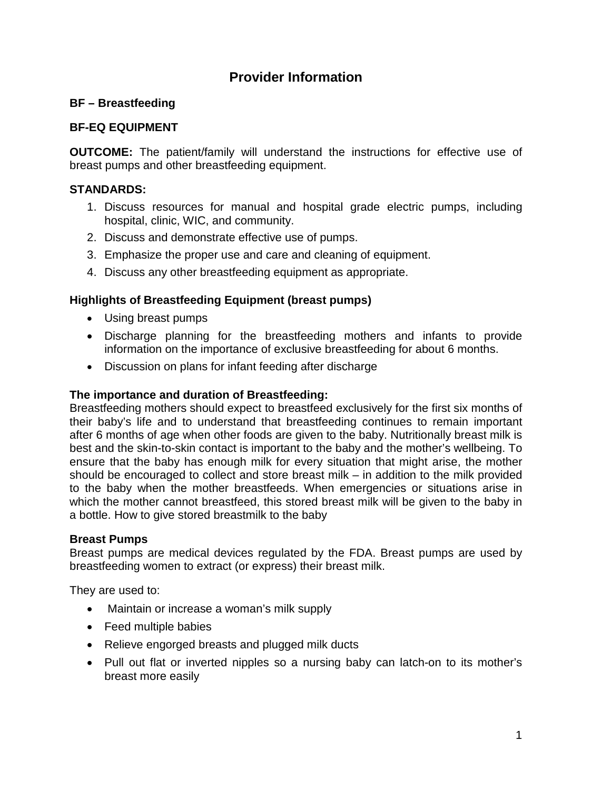# **Provider Information**

# **BF – Breastfeeding**

# **BF-EQ EQUIPMENT**

**OUTCOME:** The patient/family will understand the instructions for effective use of breast pumps and other breastfeeding equipment.

# **STANDARDS:**

- 1. Discuss resources for manual and hospital grade electric pumps, including hospital, clinic, WIC, and community.
- 2. Discuss and demonstrate effective use of pumps.
- 3. Emphasize the proper use and care and cleaning of equipment.
- 4. Discuss any other breastfeeding equipment as appropriate.

# **Highlights of Breastfeeding Equipment (breast pumps)**

- Using breast pumps
- Discharge planning for the breastfeeding mothers and infants to provide information on the importance of exclusive breastfeeding for about 6 months.
- Discussion on plans for infant feeding after discharge

#### **The importance and duration of Breastfeeding:**

Breastfeeding mothers should expect to breastfeed exclusively for the first six months of their baby's life and to understand that breastfeeding continues to remain important after 6 months of age when other foods are given to the baby. Nutritionally breast milk is best and the skin-to-skin contact is important to the baby and the mother's wellbeing. To ensure that the baby has enough milk for every situation that might arise, the mother should be encouraged to collect and store breast milk – in addition to the milk provided to the baby when the mother breastfeeds. When emergencies or situations arise in which the mother cannot breastfeed, this stored breast milk will be given to the baby in a bottle. How to give stored breastmilk to the baby

# **Breast Pumps**

Breast pumps are medical devices regulated by the FDA. Breast pumps are used by breastfeeding women to extract (or express) their breast milk.

They are used to:

- Maintain or increase a woman's milk supply
- Feed multiple babies
- Relieve engorged breasts and plugged milk ducts
- Pull out flat or inverted nipples so a nursing baby can latch-on to its mother's breast more easily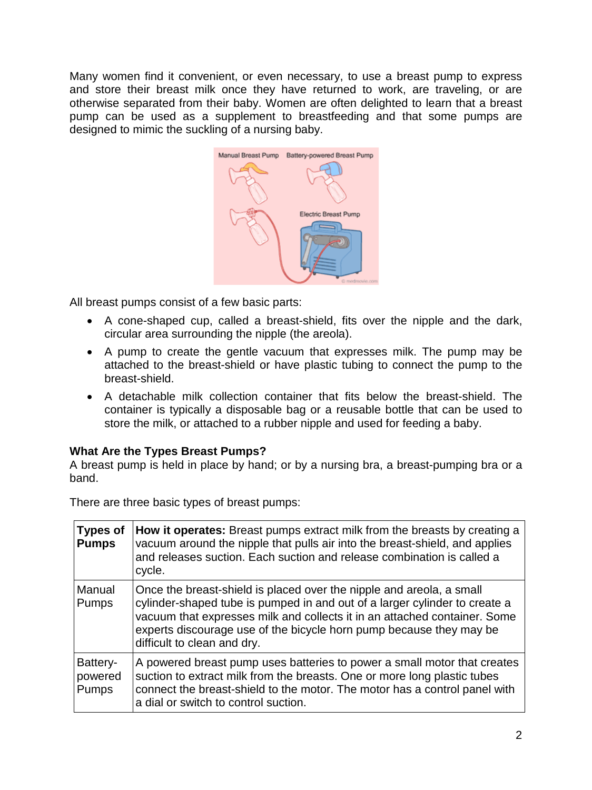Many women find it convenient, or even necessary, to use a breast pump to express and store their breast milk once they have returned to work, are traveling, or are otherwise separated from their baby. Women are often delighted to learn that a breast pump can be used as a supplement to breastfeeding and that some pumps are designed to mimic the suckling of a nursing baby.



All breast pumps consist of a few basic parts:

- A cone-shaped cup, called a breast-shield, fits over the nipple and the dark, circular area surrounding the nipple (the areola).
- A pump to create the gentle vacuum that expresses milk. The pump may be attached to the breast-shield or have plastic tubing to connect the pump to the breast-shield.
- A detachable milk collection container that fits below the breast-shield. The container is typically a disposable bag or a reusable bottle that can be used to store the milk, or attached to a rubber nipple and used for feeding a baby.

# **What Are the Types Breast Pumps?**

A breast pump is held in place by hand; or by a nursing bra, a breast-pumping bra or a band.

**Types of Pumps How it operates:** Breast pumps extract milk from the breasts by creating a vacuum around the nipple that pulls air into the breast-shield, and applies and releases suction. Each suction and release combination is called a cycle. Manual Pumps Once the breast-shield is placed over the nipple and areola, a small cylinder-shaped tube is pumped in and out of a larger cylinder to create a vacuum that expresses milk and collects it in an attached container. Some experts discourage use of the bicycle horn pump because they may be difficult to clean and dry. Batterypowered Pumps A powered breast pump uses batteries to power a small motor that creates suction to extract milk from the breasts. One or more long plastic tubes connect the breast-shield to the motor. The motor has a control panel with a dial or switch to control suction.

There are three basic types of breast pumps: